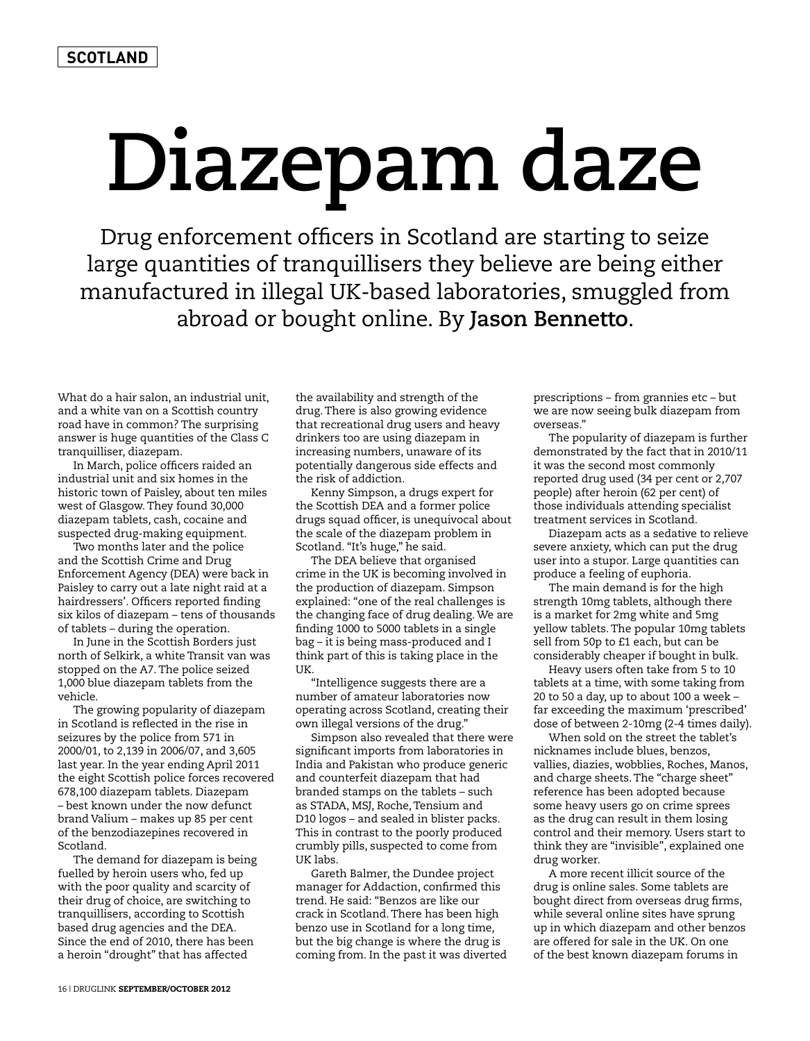## **Diazepam daze**

Drug enforcement officers in Scotland are starting to seize large quantities of tranquillisers they believe are being either manufactured in illegal UK-based laboratories, smuggled from abroad or bought online. By **Jason Bennetto**.

What do a hair salon, an industrial unit, and a white van on a Scottish country road have in common? The surprising answer is huge quantities of the Class C tranquilliser, diazepam.

In March, police officers raided an industrial unit and six homes in the historic town of Paisley, about ten miles west of Glasgow. They found 30,000 diazepam tablets, cash, cocaine and suspected drug-making equipment.

Two months later and the police and the Scottish Crime and Drug Enforcement Agency (DEA) were back in Paisley to carry out a late night raid at a hairdressers'. Officers reported finding six kilos of diazepam – tens of thousands of tablets – during the operation.

In June in the Scottish Borders just north of Selkirk, a white Transit van was stopped on the A7. The police seized 1,000 blue diazepam tablets from the vehicle.

The growing popularity of diazepam in Scotland is reflected in the rise in seizures by the police from 571 in 2000/01, to 2,139 in 2006/07, and 3,605 last year. In the year ending April 2011 the eight Scottish police forces recovered 678,100 diazepam tablets. Diazepam – best known under the now defunct brand Valium – makes up 85 per cent of the benzodiazepines recovered in Scotland.

The demand for diazepam is being fuelled by heroin users who, fed up with the poor quality and scarcity of their drug of choice, are switching to tranquillisers, according to Scottish based drug agencies and the DEA. Since the end of 2010, there has been a heroin "drought" that has affected

the availability and strength of the drug. There is also growing evidence that recreational drug users and heavy drinkers too are using diazepam in increasing numbers, unaware of its potentially dangerous side effects and the risk of addiction.

Kenny Simpson, a drugs expert for the Scottish DEA and a former police drugs squad officer, is unequivocal about the scale of the diazepam problem in Scotland. "It's huge," he said.

The DEA believe that organised crime in the UK is becoming involved in the production of diazepam. Simpson explained: "one of the real challenges is the changing face of drug dealing. We are finding 1000 to 5000 tablets in a single bag – it is being mass-produced and I think part of this is taking place in the UK.

"Intelligence suggests there are a number of amateur laboratories now operating across Scotland, creating their own illegal versions of the drug."

Simpson also revealed that there were significant imports from laboratories in India and Pakistan who produce generic and counterfeit diazepam that had branded stamps on the tablets – such as STADA, MSJ, Roche, Tensium and D10 logos – and sealed in blister packs. This in contrast to the poorly produced crumbly pills, suspected to come from UK labs.

Gareth Balmer, the Dundee project manager for Addaction, confirmed this trend. He said: "Benzos are like our crack in Scotland. There has been high benzo use in Scotland for a long time, but the big change is where the drug is coming from. In the past it was diverted prescriptions – from grannies etc – but we are now seeing bulk diazepam from overseas."

The popularity of diazepam is further demonstrated by the fact that in 2010/11 it was the second most commonly reported drug used (34 per cent or 2,707 people) after heroin (62 per cent) of those individuals attending specialist treatment services in Scotland.

Diazepam acts as a sedative to relieve severe anxiety, which can put the drug user into a stupor. Large quantities can produce a feeling of euphoria.

The main demand is for the high strength 10mg tablets, although there is a market for 2mg white and 5mg yellow tablets. The popular 10mg tablets sell from 50p to £1 each, but can be considerably cheaper if bought in bulk.

Heavy users often take from 5 to 10 tablets at a time, with some taking from 20 to 50 a day, up to about 100 a week – far exceeding the maximum 'prescribed' dose of between 2-10mg (2-4 times daily).

When sold on the street the tablet's nicknames include blues, benzos, vallies, diazies, wobblies, Roches, Manos, and charge sheets. The "charge sheet" reference has been adopted because some heavy users go on crime sprees as the drug can result in them losing control and their memory. Users start to think they are "invisible", explained one drug worker.

A more recent illicit source of the drug is online sales. Some tablets are bought direct from overseas drug firms, while several online sites have sprung up in which diazepam and other benzos are offered for sale in the UK. On one of the best known diazepam forums in